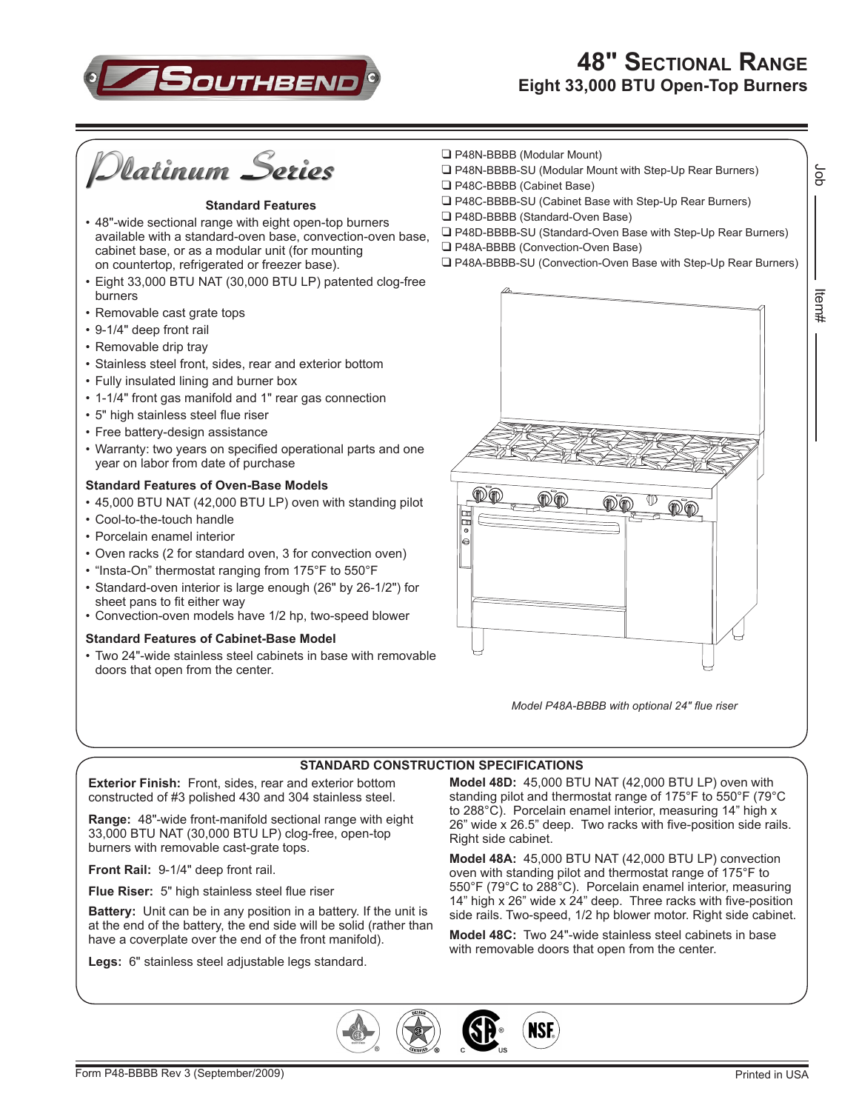

# **48" Sectional Range Eight 33,000 BTU Open-Top Burners**



#### **Standard Features**

- 48"-wide sectional range with eight open-top burners available with a standard-oven base, convection-oven base, cabinet base, or as a modular unit (for mounting on countertop, refrigerated or freezer base).
- Eight 33,000 BTU NAT (30,000 BTU LP) patented clog-free burners
- Removable cast grate tops
- 9-1/4" deep front rail
- Removable drip tray
- • Stainless steel front, sides, rear and exterior bottom
- Fully insulated lining and burner box
- • 1-1/4" front gas manifold and 1" rear gas connection
- • 5" high stainless steel flue riser
- • Free battery-design assistance
- Warranty: two years on specified operational parts and one year on labor from date of purchase

#### **Standard Features of Oven-Base Models**

- 45,000 BTU NAT (42,000 BTU LP) oven with standing pilot
- Cool-to-the-touch handle
- • Porcelain enamel interior
- • Oven racks (2 for standard oven, 3 for convection oven)
- "Insta-On" thermostat ranging from 175°F to 550°F
- • Standard-oven interior is large enough (26" by 26-1/2") for sheet pans to fit either way
- • Convection-oven models have 1/2 hp, two-speed blower

#### **Standard Features of Cabinet-Base Model**

• Two 24"-wide stainless steel cabinets in base with removable doors that open from the center.



- P48N-BBBB-SU (Modular Mount with Step-Up Rear Burners)
- P48C-BBBB (Cabinet Base)
- P48C-BBBB-SU (Cabinet Base with Step-Up Rear Burners)
- P48D-BBBB (Standard-Oven Base)
- P48D-BBBB-SU (Standard-Oven Base with Step-Up Rear Burners)
- P48A-BBBB (Convection-Oven Base)
- P48A-BBBB-SU (Convection-Oven Base with Step-Up Rear Burners)



*Model P48A-BBBB with optional 24" flue riser*

## **STANDARD CONSTRUCTION SPECIFICATIONS**

**Exterior Finish:** Front, sides, rear and exterior bottom constructed of #3 polished 430 and 304 stainless steel.

**Range:** 48"-wide front-manifold sectional range with eight 33,000 BTU NAT (30,000 BTU LP) clog-free, open-top burners with removable cast-grate tops.

**Front Rail:** 9-1/4" deep front rail.

**Flue Riser:** 5" high stainless steel flue riser

**Battery:** Unit can be in any position in a battery. If the unit is at the end of the battery, the end side will be solid (rather than have a coverplate over the end of the front manifold).

**Legs:** 6" stainless steel adjustable legs standard.

**Model 48D:** 45,000 BTU NAT (42,000 BTU LP) oven with standing pilot and thermostat range of 175°F to 550°F (79°C to 288°C). Porcelain enamel interior, measuring 14" high x 26" wide x 26.5" deep. Two racks with five-position side rails. Right side cabinet.

**Model 48A:** 45,000 BTU NAT (42,000 BTU LP) convection oven with standing pilot and thermostat range of 175°F to 550°F (79°C to 288°C). Porcelain enamel interior, measuring 14" high x 26" wide x  $24$ " deep. Three racks with five-position side rails. Two-speed, 1/2 hp blower motor. Right side cabinet.

**Model 48C:** Two 24"-wide stainless steel cabinets in base with removable doors that open from the center.



δL